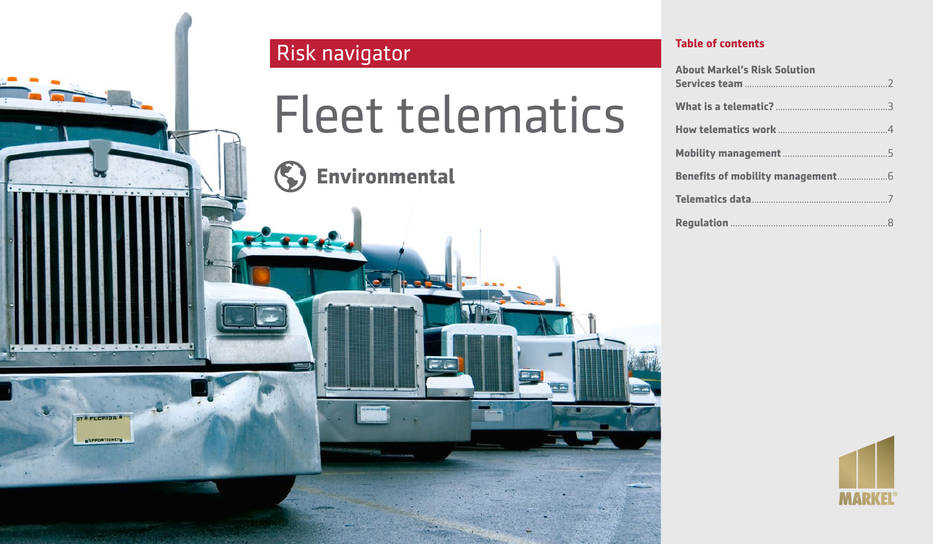# Risk navigator

**OTOFLORIDA** 

**SPPORTIONER** 

# Fleet telematics

 $\left( \sum_{i=1}^{n} a_i \right)$ **Environmental**

<u>e het</u>

| <b>About Markel's Risk Solution</b> |  |
|-------------------------------------|--|
|                                     |  |
|                                     |  |
|                                     |  |
|                                     |  |
|                                     |  |
|                                     |  |

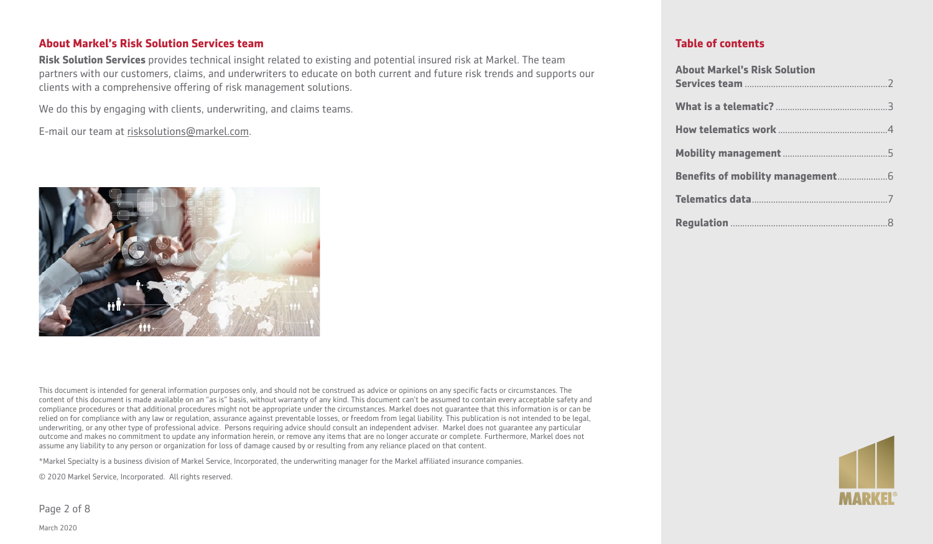#### **About Markel's Risk Solution Services team**

**Risk Solution Services** provides technical insight related to existing and potential insured risk at Markel. The team partners with our customers, claims, and underwriters to educate on both current and future risk trends and supports our clients with a comprehensive offering of risk management solutions.

We do this by engaging with clients, underwriting, and claims teams.

E-mail our team at [risksolutions@markel.com](mailto:risksolutions@markel.com).



This document is intended for general information purposes only, and should not be construed as advice or opinions on any specific facts or circumstances. The content of this document is made available on an "as is" basis, without warranty of any kind. This document can't be assumed to contain every acceptable safety and compliance procedures or that additional procedures might not be appropriate under the circumstances. Markel does not guarantee that this information is or can be relied on for compliance with any law or regulation, assurance against preventable losses, or freedom from legal liability. This publication is not intended to be legal, underwriting, or any other type of professional advice. Persons requiring advice should consult an independent adviser. Markel does not guarantee any particular outcome and makes no commitment to update any information herein, or remove any items that are no longer accurate or complete. Furthermore, Markel does not assume any liability to any person or organization for loss of damage caused by or resulting from any reliance placed on that content.

\*Markel Specialty is a business division of Markel Service, Incorporated, the underwriting manager for the Markel affiliated insurance companies.

© 2020 Markel Service, Incorporated. All rights reserved.

Page 2 of 8

| <b>About Markel's Risk Solution</b> |  |
|-------------------------------------|--|
|                                     |  |
|                                     |  |
|                                     |  |
|                                     |  |
|                                     |  |
|                                     |  |

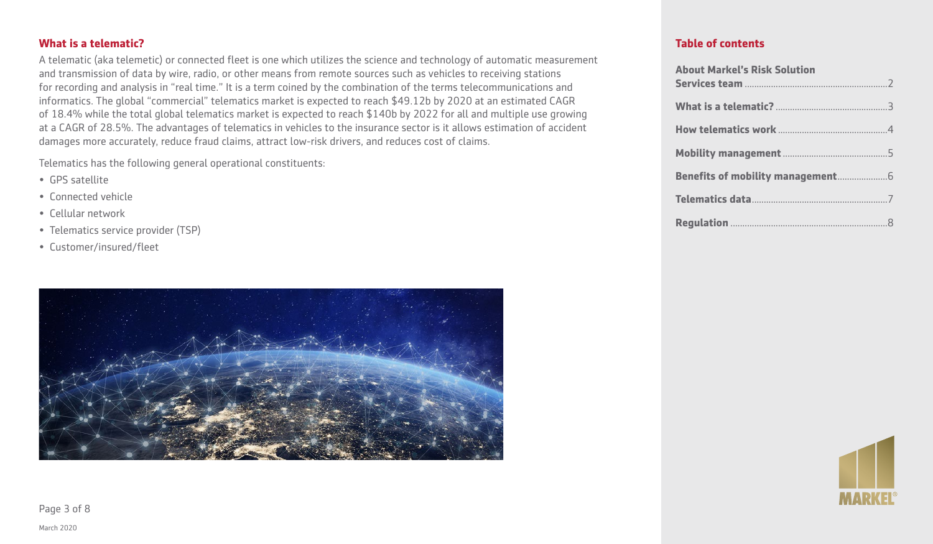#### **What is a telematic?**

A telematic (aka telemetic) or connected fleet is one which utilizes the science and technology of automatic measurement and transmission of data by wire, radio, or other means from remote sources such as vehicles to receiving stations for recording and analysis in "real time." It is a term coined by the combination of the terms telecommunications and informatics. The global "commercial" telematics market is expected to reach \$49.12b by 2020 at an estimated CAGR of 18.4% while the total global telematics market is expected to reach \$140b by 2022 for all and multiple use growing at a CAGR of 28.5%. The advantages of telematics in vehicles to the insurance sector is it allows estimation of accident damages more accurately, reduce fraud claims, attract low-risk drivers, and reduces cost of claims.

Telematics has the following general operational constituents:

- GPS satellite
- Connected vehicle
- Cellular network
- Telematics service provider (TSP)
- Customer/insured/fleet



#### **Table of contents**

| <b>About Markel's Risk Solution</b> |  |
|-------------------------------------|--|
|                                     |  |
|                                     |  |
|                                     |  |
|                                     |  |
|                                     |  |
|                                     |  |



Page 3 of 8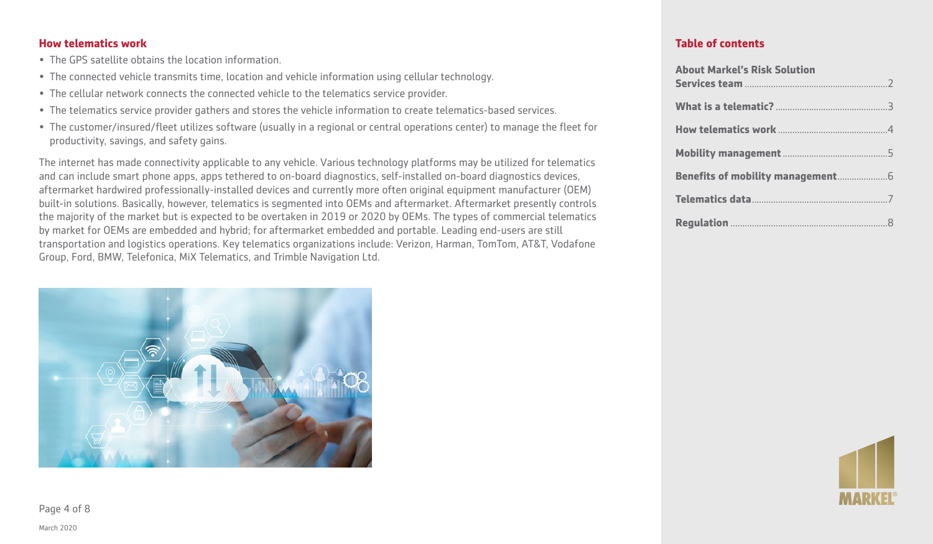#### **How telematics work**

- The GPS satellite obtains the location information.
- The connected vehicle transmits time, location and vehicle information using cellular technology.
- The cellular network connects the connected vehicle to the telematics service provider.
- The telematics service provider gathers and stores the vehicle information to create telematics-based services.
- The customer/insured/fleet utilizes software (usually in a regional or central operations center) to manage the fleet for productivity, savings, and safety gains.

The internet has made connectivity applicable to any vehicle. Various technology platforms may be utilized for telematics and can include smart phone apps, apps tethered to on-board diagnostics, self-installed on-board diagnostics devices, aftermarket hardwired professionally-installed devices and currently more often original equipment manufacturer (OEM) built-in solutions. Basically, however, telematics is segmented into OEMs and aftermarket. Aftermarket presently controls the majority of the market but is expected to be overtaken in 2019 or 2020 by OEMs. The types of commercial telematics by market for OEMs are embedded and hybrid; for aftermarket embedded and portable. Leading end-users are still transportation and logistics operations. Key telematics organizations include: Verizon, Harman, TomTom, AT&T, Vodafone Group, Ford, BMW, Telefonica, MiX Telematics, and Trimble Navigation Ltd.



#### **Table of contents**

| <b>About Markel's Risk Solution</b> |  |
|-------------------------------------|--|
|                                     |  |
|                                     |  |
|                                     |  |
|                                     |  |
|                                     |  |
|                                     |  |



Page 4 of 8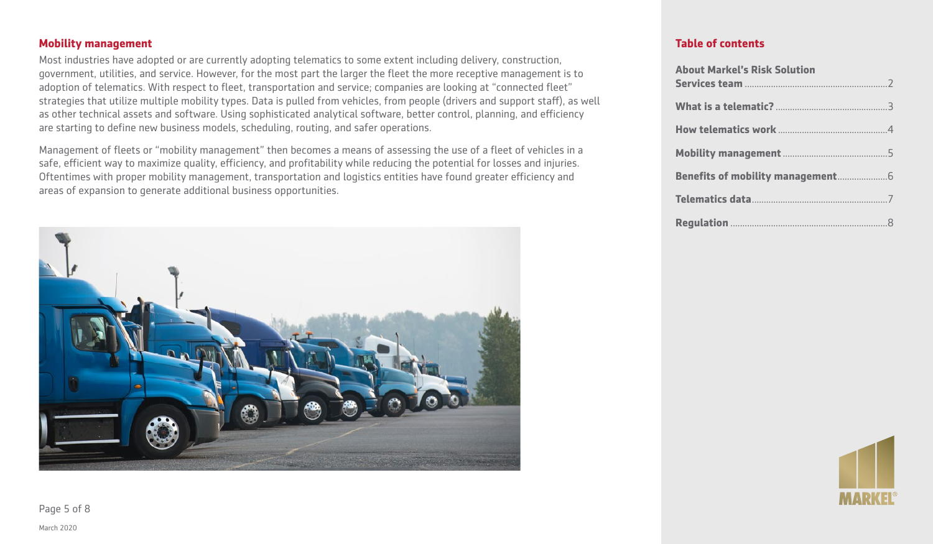#### **Mobility management**

Most industries have adopted or are currently adopting telematics to some extent including delivery, construction, government, utilities, and service. However, for the most part the larger the fleet the more receptive management is to adoption of telematics. With respect to fleet, transportation and service; companies are looking at "connected fleet" strategies that utilize multiple mobility types. Data is pulled from vehicles, from people (drivers and support staff), as well as other technical assets and software. Using sophisticated analytical software, better control, planning, and efficiency are starting to define new business models, scheduling, routing, and safer operations.

Management of fleets or "mobility management" then becomes a means of assessing the use of a fleet of vehicles in a safe, efficient way to maximize quality, efficiency, and profitability while reducing the potential for losses and injuries. Oftentimes with proper mobility management, transportation and logistics entities have found greater efficiency and areas of expansion to generate additional business opportunities.

| <b>About Markel's Risk Solution</b> |  |
|-------------------------------------|--|
|                                     |  |
|                                     |  |
|                                     |  |
|                                     |  |
|                                     |  |
|                                     |  |



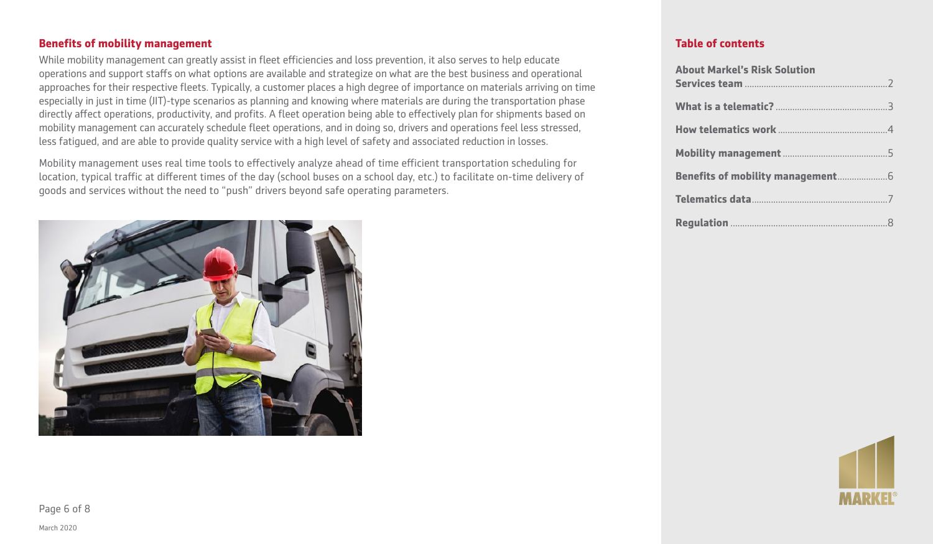#### **Benefits of mobility management**

While mobility management can greatly assist in fleet efficiencies and loss prevention, it also serves to help educate operations and support staffs on what options are available and strategize on what are the best business and operational approaches for their respective fleets. Typically, a customer places a high degree of importance on materials arriving on time especially in just in time (JIT)-type scenarios as planning and knowing where materials are during the transportation phase directly affect operations, productivity, and profits. A fleet operation being able to effectively plan for shipments based on mobility management can accurately schedule fleet operations, and in doing so, drivers and operations feel less stressed, less fatigued, and are able to provide quality service with a high level of safety and associated reduction in losses.

Mobility management uses real time tools to effectively analyze ahead of time efficient transportation scheduling for location, typical traffic at different times of the day (school buses on a school day, etc.) to facilitate on-time delivery of goods and services without the need to "push" drivers beyond safe operating parameters.



#### **Table of contents**

| <b>About Markel's Risk Solution</b> |
|-------------------------------------|
|                                     |
|                                     |
|                                     |
|                                     |
|                                     |
|                                     |



Page 6 of 8

March 2020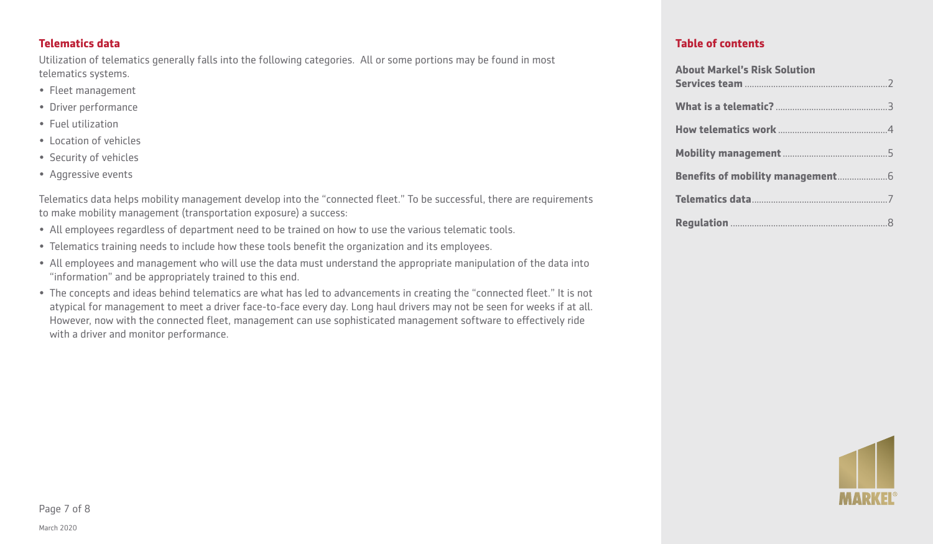# **Telematics data**

Utilization of telematics generally falls into the following categories. All or some portions may be found in most telematics systems.

- Fleet management
- Driver performance
- Fuel utilization
- Location of vehicles
- Security of vehicles
- Aggressive events

Telematics data helps mobility management develop into the "connected fleet." To be successful, there are requirements to make mobility management (transportation exposure) a success:

- All employees regardless of department need to be trained on how to use the various telematic tools.
- Telematics training needs to include how these tools benefit the organization and its employees.
- All employees and management who will use the data must understand the appropriate manipulation of the data into "information" and be appropriately trained to this end.
- The concepts and ideas behind telematics are what has led to advancements in creating the "connected fleet." It is not atypical for management to meet a driver face-to-face every day. Long haul drivers may not be seen for weeks if at all. However, now with the connected fleet, management can use sophisticated management software to effectively ride with a driver and monitor performance.

| <b>About Markel's Risk Solution</b> |
|-------------------------------------|
|                                     |
|                                     |
|                                     |
|                                     |
|                                     |
|                                     |
|                                     |